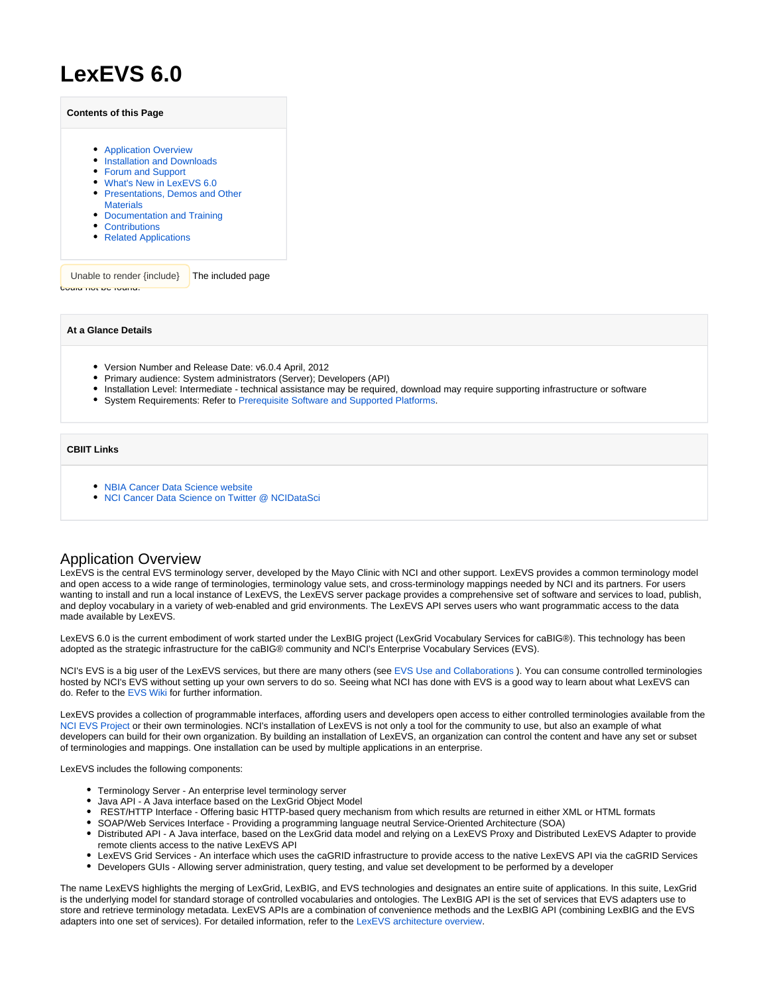# **LexEVS 6.0**

| <b>Contents of this Page</b>     |
|----------------------------------|
| • Application Overview           |
| • Installation and Downloads     |
| • Forum and Support              |
| • What's New in LexEVS 6.0       |
| • Presentations, Demos and Other |
| <b>Materials</b>                 |
| • Documentation and Training     |
| Contributions                    |

• [Related Applications](#page-2-2)

Unable to render  $\{$ include $\}$  The included page could not be found.

**At a Glance Details**

- Version Number and Release Date: v6.0.4 April, 2012
- Primary audience: System administrators (Server); Developers (API)
- Installation Level: Intermediate technical assistance may be required, download may require supporting infrastructure or software
- System Requirements: Refer to [Prerequisite Software and Supported Platforms.](https://wiki.nci.nih.gov/display/LexEVS/2+-+LexEVS+6.x+Prerequisite+Software+and+Supported+Platforms)

#### **CBIIT Links**

- [NBIA Cancer Data Science website](https://datascience.cancer.gov)
- [NCI Cancer Data Science on Twitter @ NCIDataSci](https://twitter.com/@NCIDataSci)

#### <span id="page-0-0"></span>Application Overview

LexEVS is the central EVS terminology server, developed by the Mayo Clinic with NCI and other support. LexEVS provides a common terminology model and open access to a wide range of terminologies, terminology value sets, and cross-terminology mappings needed by NCI and its partners. For users wanting to install and run a local instance of LexEVS, the LexEVS server package provides a comprehensive set of software and services to load, publish, and deploy vocabulary in a variety of web-enabled and grid environments. The LexEVS API serves users who want programmatic access to the data made available by LexEVS.

LexEVS 6.0 is the current embodiment of work started under the LexBIG project (LexGrid Vocabulary Services for caBIG®). This technology has been adopted as the strategic infrastructure for the caBIG® community and NCI's Enterprise Vocabulary Services (EVS).

NCI's EVS is a big user of the LexEVS services, but there are many others (see [EVS Use and Collaborations](https://wiki.nci.nih.gov/x/dYf_Ag) ). You can consume controlled terminologies hosted by NCI's EVS without setting up your own servers to do so. Seeing what NCI has done with EVS is a good way to learn about what LexEVS can do. Refer to the [EVS Wiki](https://wiki.nci.nih.gov/display/EVS/EVS+Wiki) for further information.

LexEVS provides a collection of programmable interfaces, affording users and developers open access to either controlled terminologies available from the [NCI EVS Project](http://ncicb.nci.nih.gov/download/evsportal.jsp) or their own terminologies. NCI's installation of LexEVS is not only a tool for the community to use, but also an example of what developers can build for their own organization. By building an installation of LexEVS, an organization can control the content and have any set or subset of terminologies and mappings. One installation can be used by multiple applications in an enterprise.

LexEVS includes the following components:

- Terminology Server An enterprise level terminology server
- Java API A Java interface based on the LexGrid Object Model
- REST/HTTP Interface Offering basic HTTP-based query mechanism from which results are returned in either XML or HTML formats
- SOAP/Web Services Interface Providing a programming language neutral Service-Oriented Architecture (SOA)
- Distributed API A Java interface, based on the LexGrid data model and relying on a LexEVS Proxy and Distributed LexEVS Adapter to provide remote clients access to the native LexEVS API
- LexEVS Grid Services An interface which uses the caGRID infrastructure to provide access to the native LexEVS API via the caGRID Services
- Developers GUIs Allowing server administration, query testing, and value set development to be performed by a developer

The name LexEVS highlights the merging of LexGrid, LexBIG, and EVS technologies and designates an entire suite of applications. In this suite, LexGrid is the underlying model for standard storage of controlled vocabularies and ontologies. The LexBIG API is the set of services that EVS adapters use to store and retrieve terminology metadata. LexEVS APIs are a combination of convenience methods and the LexBIG API (combining LexBIG and the EVS adapters into one set of services). For detailed information, refer to the [LexEVS architecture overview](https://wiki.nci.nih.gov/display/LexEVS/LexEVS+6.x+Architecture).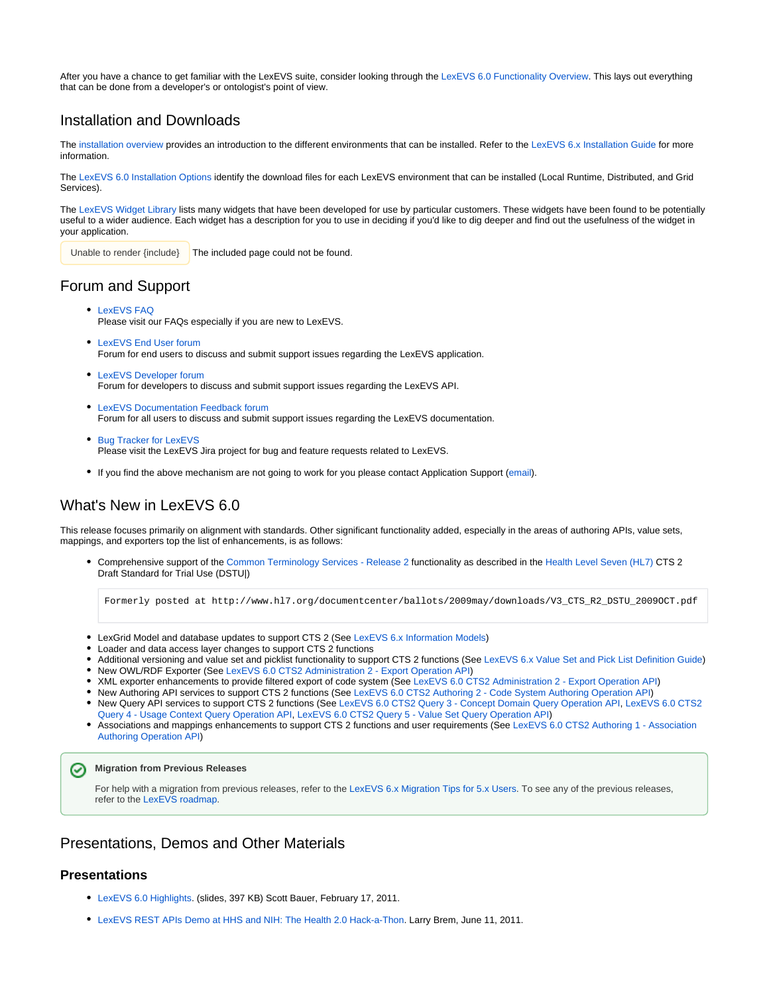After you have a chance to get familiar with the LexEVS suite, consider looking through the [LexEVS 6.0 Functionality Overview.](https://wiki.nci.nih.gov/display/LexEVS/LexEVS+6.0+Functionality+Overview) This lays out everything that can be done from a developer's or ontologist's point of view.

## <span id="page-1-0"></span>Installation and Downloads

The [installation overview](https://wiki.nci.nih.gov/display/LexEVS/1+-+LexEVS+6.x+Installation+Overview) provides an introduction to the different environments that can be installed. Refer to the [LexEVS 6.x Installation Guide](https://wiki.nci.nih.gov/display/LexEVS/LexEVS+6.x+Installation+Guide) for more information.

The [LexEVS 6.0 Installation Options](https://wiki.nci.nih.gov/display/LexEVS/LexEVS+6.0+Installation+Options) identify the download files for each LexEVS environment that can be installed (Local Runtime, Distributed, and Grid Services).

The [LexEVS Widget Library](https://wiki.nci.nih.gov/display/LexEVS/LexEVS+Widget+Library) lists many widgets that have been developed for use by particular customers. These widgets have been found to be potentially useful to a wider audience. Each widget has a description for you to use in deciding if you'd like to dig deeper and find out the usefulness of the widget in your application.

 $\blacksquare$  The included page could not be found. Unable to render {include}

# <span id="page-1-1"></span>Forum and Support

- [LexEVS FAQ](https://wiki.nci.nih.gov/display/LexEVS/LexEVS+FAQ) Please visit our FAQs especially if you are new to LexEVS.
- [LexEVS End User forum](https://cabig-kc.nci.nih.gov/Vocab/forums/viewforum.php?f=13) Forum for end users to discuss and submit support issues regarding the LexEVS application.
- [LexEVS Developer forum](https://cabig-kc.nci.nih.gov/Vocab/forums/viewforum.php?f=16) Forum for developers to discuss and submit support issues regarding the LexEVS API.
- [LexEVS Documentation Feedback forum](https://cabig-kc.nci.nih.gov/Vocab/forums/viewforum.php?f=46) Forum for all users to discuss and submit support issues regarding the LexEVS documentation.
- [Bug Tracker for LexEVS](https://tracker.nci.nih.gov/browse/LexEVS) Please visit the LexEVS Jira project for bug and feature requests related to LexEVS.
- If you find the above mechanism are not going to work for you please contact Application Support [\(email](mailto:ncicbiit@mail.nih.gov)).

# <span id="page-1-2"></span>What's New in LexEVS 6.0

This release focuses primarily on alignment with standards. Other significant functionality added, especially in the areas of authoring APIs, value sets, mappings, and exporters top the list of enhancements, is as follows:

Comprehensive support of the [Common Terminology Services - Release 2](https://wiki.nci.nih.gov/pages/viewpage.action?pageId=63996154) functionality as described in the [Health Level Seven \(HL7\)](https://wiki.nci.nih.gov/pages/viewpage.action?pageId=63996635) CTS 2 Draft Standard for Trial Use (DSTU|)

Formerly posted at http://www.hl7.org/documentcenter/ballots/2009may/downloads/V3\_CTS\_R2\_DSTU\_2009OCT.pdf

- LexGrid Model and database updates to support CTS 2 (See [LexEVS 6.x Information Models\)](https://wiki.nci.nih.gov/display/LexEVS/LexEVS+6.x+Information+Models)
- Loader and data access layer changes to support CTS 2 functions
- Additional versioning and value set and picklist functionality to support CTS 2 functions (See [LexEVS 6.x Value Set and Pick List Definition Guide\)](https://wiki.nci.nih.gov/display/LexEVS/LexEVS+6.x+Value+Set+and+Pick+List+Definition+Guide)
- New OWL/RDF Exporter (See [LexEVS 6.0 CTS2 Administration 2 Export Operation API](https://wiki.nci.nih.gov/display/LexEVS/LexEVS+6.0+CTS2+Administration+2+-+Export+Operation+API))
- XML exporter enhancements to provide filtered export of code system (See [LexEVS 6.0 CTS2 Administration 2 Export Operation API\)](https://wiki.nci.nih.gov/display/LexEVS/LexEVS+6.0+CTS2+Administration+2+-+Export+Operation+API)
- New Authoring API services to support CTS 2 functions (See [LexEVS 6.0 CTS2 Authoring 2 Code System Authoring Operation API](https://wiki.nci.nih.gov/display/LexEVS/LexEVS+6.0+CTS2+Authoring+2+-+Code+System+Authoring+Operation+API))
- New Query API services to support CTS 2 functions (See [LexEVS 6.0 CTS2 Query 3 Concept Domain Query Operation API](https://wiki.nci.nih.gov/display/LexEVS/LexEVS+6.0+CTS2+Query+3+-+Concept+Domain+Query+Operation+API), [LexEVS 6.0 CTS2](https://wiki.nci.nih.gov/display/LexEVS/LexEVS+6.0+CTS2+Query+4+-+Usage+Context+Query+Operation+API)  [Query 4 - Usage Context Query Operation API,](https://wiki.nci.nih.gov/display/LexEVS/LexEVS+6.0+CTS2+Query+4+-+Usage+Context+Query+Operation+API) [LexEVS 6.0 CTS2 Query 5 - Value Set Query Operation API](https://wiki.nci.nih.gov/display/LexEVS/LexEVS+6.0+CTS2+Query+5+-+Value+Set+Query+Operation+API))
- Associations and mappings enhancements to support CTS 2 functions and user requirements (See [LexEVS 6.0 CTS2 Authoring 1 Association](https://wiki.nci.nih.gov/display/LexEVS/LexEVS+6.0+CTS2+Authoring+1+-+Association+Authoring+Operation+API)  [Authoring Operation API](https://wiki.nci.nih.gov/display/LexEVS/LexEVS+6.0+CTS2+Authoring+1+-+Association+Authoring+Operation+API))

#### **Migration from Previous Releases**

For help with a migration from previous releases, refer to the [LexEVS 6.x Migration Tips for 5.x Users](https://wiki.nci.nih.gov/display/LexEVS/LexEVS+6.x+Migration+Tips+for+5.x+Users). To see any of the previous releases, refer to the [LexEVS roadmap.](https://wiki.nci.nih.gov/display/LexEVS/LexEVS+Release+Roadmap)

## <span id="page-1-3"></span>Presentations, Demos and Other Materials

#### **Presentations**

∽

- [LexEVS 6.0 Highlights.](https://wiki.nci.nih.gov/download/attachments/69730353/LexEVS_6.0_Highlights.ppt?version=1&modificationDate=1341970034000&api=v2) (slides, 397 KB) Scott Bauer, February 17, 2011.
- [LexEVS REST APIs Demo at HHS and NIH: The Health 2.0 Hack-a-Thon.](https://wiki.nci.nih.gov/display/LexEVS/Hack-A-Thon+2011+NCI+Blue+-+LexEVS+REST+API) Larry Brem, June 11, 2011.